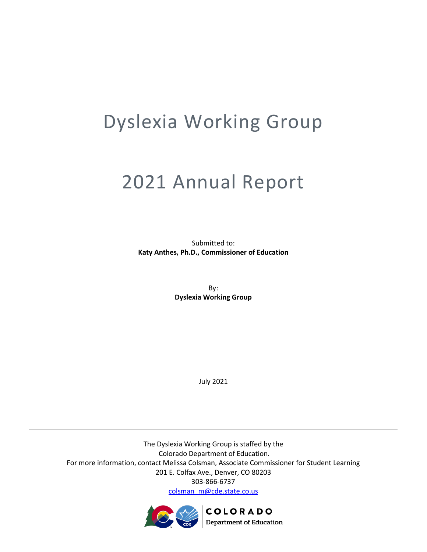# Dyslexia Working Group

# 2021 Annual Report

Submitted to: **Katy Anthes, Ph.D., Commissioner of Education**

> By: **Dyslexia Working Group**

> > July 2021

The Dyslexia Working Group is staffed by the Colorado Department of Education. For more information, contact Melissa Colsman, Associate Commissioner for Student Learning 201 E. Colfax Ave., Denver, CO 80203 303-866-6737 [colsman\\_m@cde.state.co.us](mailto:colsman_m@cde.state.co.us)

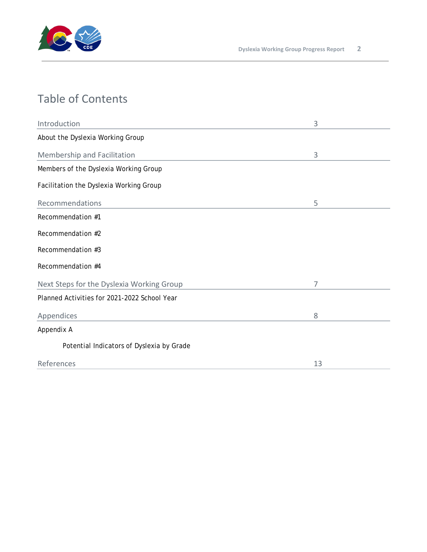

# Table of Contents

| Introduction                                 | 3  |
|----------------------------------------------|----|
| About the Dyslexia Working Group             |    |
| Membership and Facilitation                  | 3  |
| Members of the Dyslexia Working Group        |    |
| Facilitation the Dyslexia Working Group      |    |
| Recommendations                              | 5  |
| Recommendation #1                            |    |
| Recommendation #2                            |    |
| Recommendation #3                            |    |
| Recommendation #4                            |    |
| Next Steps for the Dyslexia Working Group    | 7  |
| Planned Activities for 2021-2022 School Year |    |
| Appendices                                   | 8  |
| Appendix A                                   |    |
| Potential Indicators of Dyslexia by Grade    |    |
| References                                   | 13 |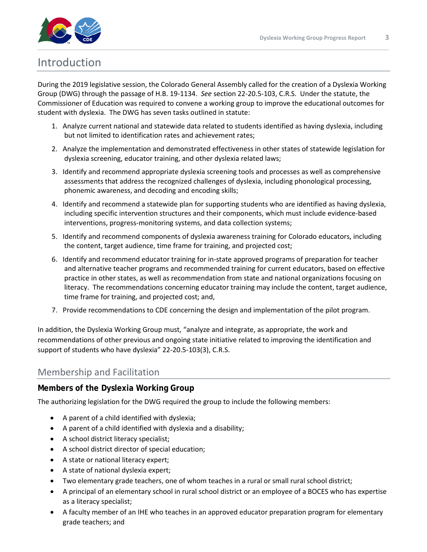

## Introduction

During the 2019 legislative session, the Colorado General Assembly called for the creation of a Dyslexia Working Group (DWG) through the passage of H.B. 19-1134. *See* section 22-20.5-103, C.R.S. Under the statute, the Commissioner of Education was required to convene a working group to improve the educational outcomes for student with dyslexia. The DWG has seven tasks outlined in statute:

- 1. Analyze current national and statewide data related to students identified as having dyslexia, including but not limited to identification rates and achievement rates;
- 2. Analyze the implementation and demonstrated effectiveness in other states of statewide legislation for dyslexia screening, educator training, and other dyslexia related laws;
- 3. Identify and recommend appropriate dyslexia screening tools and processes as well as comprehensive assessments that address the recognized challenges of dyslexia, including phonological processing, phonemic awareness, and decoding and encoding skills;
- 4. Identify and recommend a statewide plan for supporting students who are identified as having dyslexia, including specific intervention structures and their components, which must include evidence-based interventions, progress-monitoring systems, and data collection systems;
- 5. Identify and recommend components of dyslexia awareness training for Colorado educators, including the content, target audience, time frame for training, and projected cost;
- 6. Identify and recommend educator training for in-state approved programs of preparation for teacher and alternative teacher programs and recommended training for current educators, based on effective practice in other states, as well as recommendation from state and national organizations focusing on literacy. The recommendations concerning educator training may include the content, target audience, time frame for training, and projected cost; and,
- 7. Provide recommendations to CDE concerning the design and implementation of the pilot program.

In addition, the Dyslexia Working Group must, "analyze and integrate, as appropriate, the work and recommendations of other previous and ongoing state initiative related to improving the identification and support of students who have dyslexia" 22-20.5-103(3), C.R.S.

## Membership and Facilitation

## **Members of the Dyslexia Working Group**

The authorizing legislation for the DWG required the group to include the following members:

- A parent of a child identified with dyslexia;
- A parent of a child identified with dyslexia and a disability;
- A school district literacy specialist;
- A school district director of special education;
- A state or national literacy expert;
- A state of national dyslexia expert;
- Two elementary grade teachers, one of whom teaches in a rural or small rural school district;
- A principal of an elementary school in rural school district or an employee of a BOCES who has expertise as a literacy specialist;
- A faculty member of an IHE who teaches in an approved educator preparation program for elementary grade teachers; and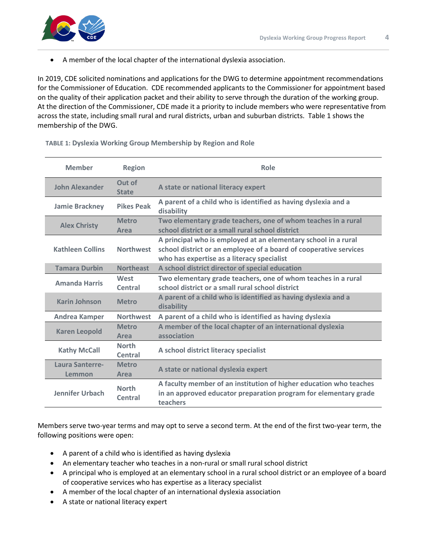

• A member of the local chapter of the international dyslexia association.

In 2019, CDE solicited nominations and applications for the DWG to determine appointment recommendations for the Commissioner of Education. CDE recommended applicants to the Commissioner for appointment based on the quality of their application packet and their ability to serve through the duration of the working group. At the direction of the Commissioner, CDE made it a priority to include members who were representative from across the state, including small rural and rural districts, urban and suburban districts. Table 1 shows the membership of the DWG.

| <b>Member</b>             | <b>Region</b>           | Role                                                                                                                                                                              |
|---------------------------|-------------------------|-----------------------------------------------------------------------------------------------------------------------------------------------------------------------------------|
| John Alexander            | Out of<br><b>State</b>  | A state or national literacy expert                                                                                                                                               |
| <b>Jamie Brackney</b>     | <b>Pikes Peak</b>       | A parent of a child who is identified as having dyslexia and a<br>disability                                                                                                      |
| <b>Alex Christy</b>       | <b>Metro</b><br>Area    | Two elementary grade teachers, one of whom teaches in a rural<br>school district or a small rural school district                                                                 |
| <b>Kathleen Collins</b>   | <b>Northwest</b>        | A principal who is employed at an elementary school in a rural<br>school district or an employee of a board of cooperative services<br>who has expertise as a literacy specialist |
| <b>Tamara Durbin</b>      | <b>Northeast</b>        | A school district director of special education                                                                                                                                   |
| <b>Amanda Harris</b>      | West<br>Central         | Two elementary grade teachers, one of whom teaches in a rural<br>school district or a small rural school district                                                                 |
| <b>Karin Johnson</b>      | <b>Metro</b>            | A parent of a child who is identified as having dyslexia and a<br>disability                                                                                                      |
| <b>Andrea Kamper</b>      | <b>Northwest</b>        | A parent of a child who is identified as having dyslexia                                                                                                                          |
| <b>Karen Leopold</b>      | <b>Metro</b><br>Area    | A member of the local chapter of an international dyslexia<br>association                                                                                                         |
| <b>Kathy McCall</b>       | <b>North</b><br>Central | A school district literacy specialist                                                                                                                                             |
| Laura Santerre-<br>Lemmon | <b>Metro</b><br>Area    | A state or national dyslexia expert                                                                                                                                               |
| <b>Jennifer Urbach</b>    | <b>North</b><br>Central | A faculty member of an institution of higher education who teaches<br>in an approved educator preparation program for elementary grade<br>teachers                                |

#### **TABLE 1: Dyslexia Working Group Membership by Region and Role**

Members serve two-year terms and may opt to serve a second term. At the end of the first two-year term, the following positions were open:

- A parent of a child who is identified as having dyslexia
- An elementary teacher who teaches in a non-rural or small rural school district
- A principal who is employed at an elementary school in a rural school district or an employee of a board of cooperative services who has expertise as a literacy specialist
- A member of the local chapter of an international dyslexia association
- A state or national literacy expert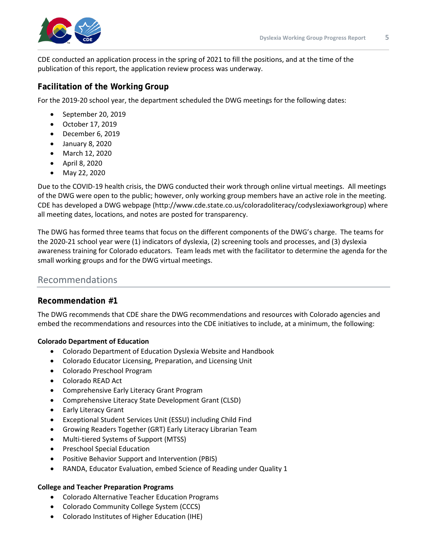

CDE conducted an application process in the spring of 2021 to fill the positions, and at the time of the publication of this report, the application review process was underway.

## **Facilitation of the Working Group**

For the 2019-20 school year, the department scheduled the DWG meetings for the following dates:

- September 20, 2019
- October 17, 2019
- December 6, 2019
- January 8, 2020
- March 12, 2020
- April 8, 2020
- May 22, 2020

Due to the COVID-19 health crisis, the DWG conducted their work through online virtual meetings. All meetings of the DWG were open to the public; however, only working group members have an active role in the meeting. CDE has developed a DWG webpage (http://www.cde.state.co.us/coloradoliteracy/codyslexiaworkgroup) where all meeting dates, locations, and notes are posted for transparency.

The DWG has formed three teams that focus on the different components of the DWG's charge. The teams for the 2020-21 school year were (1) indicators of dyslexia, (2) screening tools and processes, and (3) dyslexia awareness training for Colorado educators. Team leads met with the facilitator to determine the agenda for the small working groups and for the DWG virtual meetings.

## Recommendations

## **Recommendation #1**

The DWG recommends that CDE share the DWG recommendations and resources with Colorado agencies and embed the recommendations and resources into the CDE initiatives to include, at a minimum, the following:

## **Colorado Department of Education**

- Colorado Department of Education Dyslexia Website and Handbook
- Colorado Educator Licensing, Preparation, and Licensing Unit
- Colorado Preschool Program
- Colorado READ Act
- Comprehensive Early Literacy Grant Program
- Comprehensive Literacy State Development Grant (CLSD)
- Early Literacy Grant
- Exceptional Student Services Unit (ESSU) including Child Find
- Growing Readers Together (GRT) Early Literacy Librarian Team
- Multi-tiered Systems of Support (MTSS)
- Preschool Special Education
- Positive Behavior Support and Intervention (PBIS)
- RANDA, Educator Evaluation, embed Science of Reading under Quality 1

#### **College and Teacher Preparation Programs**

- Colorado Alternative Teacher Education Programs
- Colorado Community College System (CCCS)
- Colorado Institutes of Higher Education (IHE)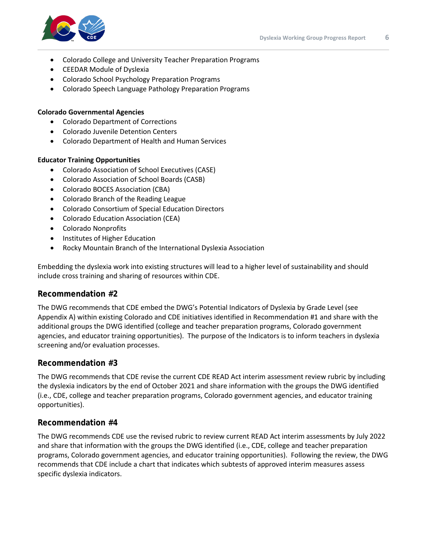

- Colorado College and University Teacher Preparation Programs
- CEEDAR Module of Dyslexia
- Colorado School Psychology Preparation Programs
- Colorado Speech Language Pathology Preparation Programs

#### **Colorado Governmental Agencies**

- Colorado Department of Corrections
- Colorado Juvenile Detention Centers
- Colorado Department of Health and Human Services

#### **Educator Training Opportunities**

- Colorado Association of School Executives (CASE)
- Colorado Association of School Boards (CASB)
- Colorado BOCES Association (CBA)
- Colorado Branch of the Reading League
- Colorado Consortium of Special Education Directors
- Colorado Education Association (CEA)
- Colorado Nonprofits
- Institutes of Higher Education
- Rocky Mountain Branch of the International Dyslexia Association

Embedding the dyslexia work into existing structures will lead to a higher level of sustainability and should include cross training and sharing of resources within CDE.

#### **Recommendation #2**

The DWG recommends that CDE embed the DWG's Potential Indicators of Dyslexia by Grade Level (see Appendix A) within existing Colorado and CDE initiatives identified in Recommendation #1 and share with the additional groups the DWG identified (college and teacher preparation programs, Colorado government agencies, and educator training opportunities). The purpose of the Indicators is to inform teachers in dyslexia screening and/or evaluation processes.

#### **Recommendation #3**

The DWG recommends that CDE revise the current CDE READ Act interim assessment review rubric by including the dyslexia indicators by the end of October 2021 and share information with the groups the DWG identified (i.e., CDE, college and teacher preparation programs, Colorado government agencies, and educator training opportunities).

#### **Recommendation #4**

The DWG recommends CDE use the revised rubric to review current READ Act interim assessments by July 2022 and share that information with the groups the DWG identified (i.e., CDE, college and teacher preparation programs, Colorado government agencies, and educator training opportunities). Following the review, the DWG recommends that CDE include a chart that indicates which subtests of approved interim measures assess specific dyslexia indicators.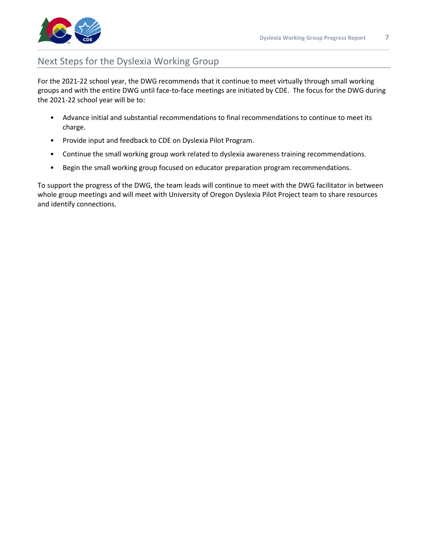

## Next Steps for the Dyslexia Working Group

For the 2021-22 school year, the DWG recommends that it continue to meet virtually through small working groups and with the entire DWG until face-to-face meetings are initiated by CDE. The focus for the DWG during the 2021-22 school year will be to:

- Advance initial and substantial recommendations to final recommendations to continue to meet its charge.
- Provide input and feedback to CDE on Dyslexia Pilot Program.
- Continue the small working group work related to dyslexia awareness training recommendations.
- Begin the small working group focused on educator preparation program recommendations.

To support the progress of the DWG, the team leads will continue to meet with the DWG facilitator in between whole group meetings and will meet with University of Oregon Dyslexia Pilot Project team to share resources and identify connections.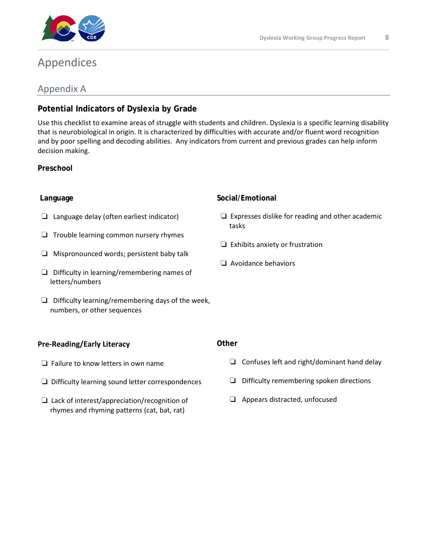

## Appendices

## Appendix A

## **Potential Indicators of Dyslexia by Grade**

Use this checklist to examine areas of struggle with students and children. Dyslexia is a specific learning disability that is neurobiological in origin. It is characterized by difficulties with accurate and/or fluent word recognition and by poor spelling and decoding abilities. Any indicators from current and previous grades can help inform decision making.

## **Preschool**

## **Language**

- ❏ Language delay (often earliest indicator)
- ❏ Trouble learning common nursery rhymes
- ❏ Mispronounced words; persistent baby talk
- ❏ Difficulty in learning/remembering names of letters/numbers
- ❏ Difficulty learning/remembering days of the week, numbers, or other sequences

## **Pre-Reading/Early Literacy**

- ❏ Failure to know letters in own name
- ❏ Difficulty learning sound letter correspondences
- ❏ Lack of interest/appreciation/recognition of rhymes and rhyming patterns (cat, bat, rat)

## **Social/Emotional**

- ❏ Expresses dislike for reading and other academic tasks
- ❏ Exhibits anxiety or frustration
- ❏ Avoidance behaviors

#### **Other**

- ❏ Confuses left and right/dominant hand delay
- ❏ Difficulty remembering spoken directions
- ❏ Appears distracted, unfocused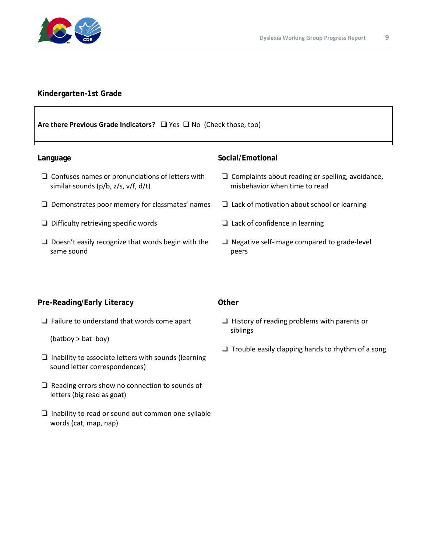

## **Kindergarten-1st Grade**

## **Are there Previous Grade Indicators?** ❑ Yes ❑ No (Check those, too) **Language** ❏ Confuses names or pronunciations of letters with similar sounds (p/b, z/s, v/f, d/t) ❏ Demonstrates poor memory for classmates' names ❏ Difficulty retrieving specific words ❏ Doesn't easily recognize that words begin with the same sound **Social/Emotional** ❏ Complaints about reading or spelling, avoidance, misbehavior when time to read ❏ Lack of motivation about school or learning ❏ Lack of confidence in learning ❏ Negative self-image compared to grade-level peers **Pre-Reading/Early Literacy Other**

❏ Failure to understand that words come apart

(batboy > bat boy)

- ❏ Inability to associate letters with sounds (learning sound letter correspondences)
- ❏ Reading errors show no connection to sounds of letters (big read as goat)
- ❏ Inability to read or sound out common one-syllable words (cat, map, nap)
- ❏ History of reading problems with parents or siblings
- $\Box$  Trouble easily clapping hands to rhythm of a song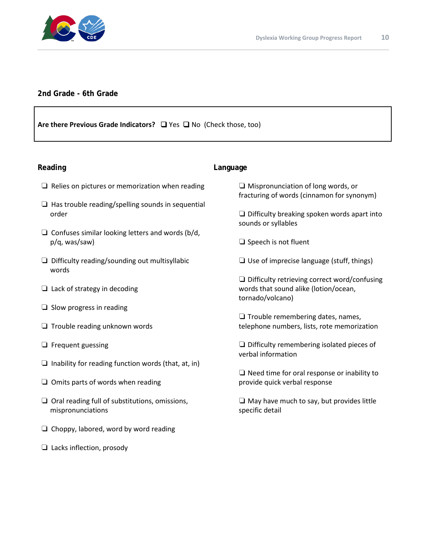

## **2nd Grade - 6th Grade**

## **Are there Previous Grade Indicators?** ❑ Yes ❑ No (Check those, too)

#### **Reading** ❏ Relies on pictures or memorization when reading  $\Box$  Has trouble reading/spelling sounds in sequential order  $\Box$  Confuses similar looking letters and words (b/d, p/q, was/saw) ❏ Difficulty reading/sounding out multisyllabic words ❏ Lack of strategy in decoding ❏ Slow progress in reading ❏ Trouble reading unknown words ❏ Frequent guessing  $\Box$  Inability for reading function words (that, at, in) ❏ Omits parts of words when reading ❏ Oral reading full of substitutions, omissions, mispronunciations ❏ Choppy, labored, word by word reading **Language** ❏ Mispronunciation of long words, or fracturing of words (cinnamon for synonym) ❏ Difficulty breaking spoken words apart into sounds or syllables ❏ Speech is not fluent ❏ Use of imprecise language (stuff, things) ❏ Difficulty retrieving correct word/confusing words that sound alike (lotion/ocean, tornado/volcano) ❏ Trouble remembering dates, names, telephone numbers, lists, rote memorization ❏ Difficulty remembering isolated pieces of verbal information ❏ Need time for oral response or inability to provide quick verbal response ❏ May have much to say, but provides little specific detail

❏ Lacks inflection, prosody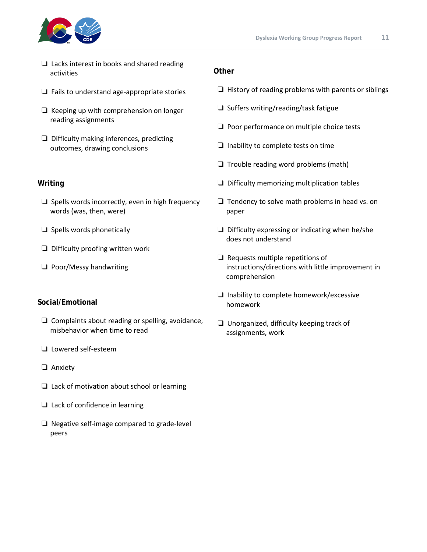

- ❏ Lacks interest in books and shared reading activities
- ❏ Fails to understand age-appropriate stories
- ❏ Keeping up with comprehension on longer reading assignments
- ❏ Difficulty making inferences, predicting outcomes, drawing conclusions

## **Writing**

- ❏ Spells words incorrectly, even in high frequency words (was, then, were)
- ❏ Spells words phonetically
- ❏ Difficulty proofing written work
- ❏ Poor/Messy handwriting

## **Social/Emotional**

- ❏ Complaints about reading or spelling, avoidance, misbehavior when time to read
- ❏ Lowered self-esteem
- ❏ Anxiety
- ❏ Lack of motivation about school or learning
- ❏ Lack of confidence in learning
- ❏ Negative self-image compared to grade-level peers

### **Other**

- $\Box$  History of reading problems with parents or siblings
- ❏ Suffers writing/reading/task fatigue
- ❏ Poor performance on multiple choice tests
- ❏ Inability to complete tests on time
- ❏ Trouble reading word problems (math)
- ❏ Difficulty memorizing multiplication tables
- ❏ Tendency to solve math problems in head vs. on paper
- ❏ Difficulty expressing or indicating when he/she does not understand
- ❏ Requests multiple repetitions of instructions/directions with little improvement in comprehension
- ❏ Inability to complete homework/excessive homework
- ❏ Unorganized, difficulty keeping track of assignments, work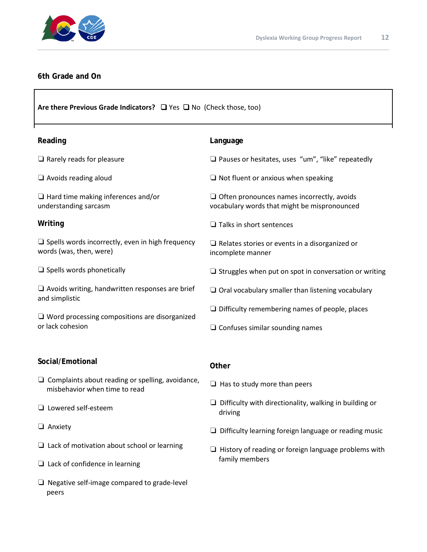

### **6th Grade and On**

**Are there Previous Grade Indicators?** ❑ Yes ❑ No (Check those, too)

| Reading                                                                            | Language                                                                                          |
|------------------------------------------------------------------------------------|---------------------------------------------------------------------------------------------------|
| $\Box$ Rarely reads for pleasure                                                   | $\Box$ Pauses or hesitates, uses "um", "like" repeatedly                                          |
| $\Box$ Avoids reading aloud                                                        | $\Box$ Not fluent or anxious when speaking                                                        |
| $\Box$ Hard time making inferences and/or<br>understanding sarcasm                 | $\Box$ Often pronounces names incorrectly, avoids<br>vocabulary words that might be mispronounced |
| Writing                                                                            | $\Box$ Talks in short sentences                                                                   |
| $\Box$ Spells words incorrectly, even in high frequency<br>words (was, then, were) | $\Box$ Relates stories or events in a disorganized or<br>incomplete manner                        |
| $\Box$ Spells words phonetically                                                   | $\Box$ Struggles when put on spot in conversation or writing                                      |
| $\Box$ Avoids writing, handwritten responses are brief<br>and simplistic           | $\Box$ Oral vocabulary smaller than listening vocabulary                                          |
| $\Box$ Word processing compositions are disorganized<br>or lack cohesion           | $\Box$ Difficulty remembering names of people, places                                             |
|                                                                                    | $\Box$ Confuses similar sounding names                                                            |
|                                                                                    |                                                                                                   |
| Social/Emotional                                                                   | Other                                                                                             |

- ❏ Complaints about reading or spelling, avoidance, misbehavior when time to read
- ❏ Lowered self-esteem
- ❏ Anxiety
- ❏ Lack of motivation about school or learning
- ❏ Lack of confidence in learning
- ❏ Negative self-image compared to grade-level peers
- ❏ Has to study more than peers
- ❏ Difficulty with directionality, walking in building or driving
- ❏ Difficulty learning foreign language or reading music
- ❏ History of reading or foreign language problems with family members